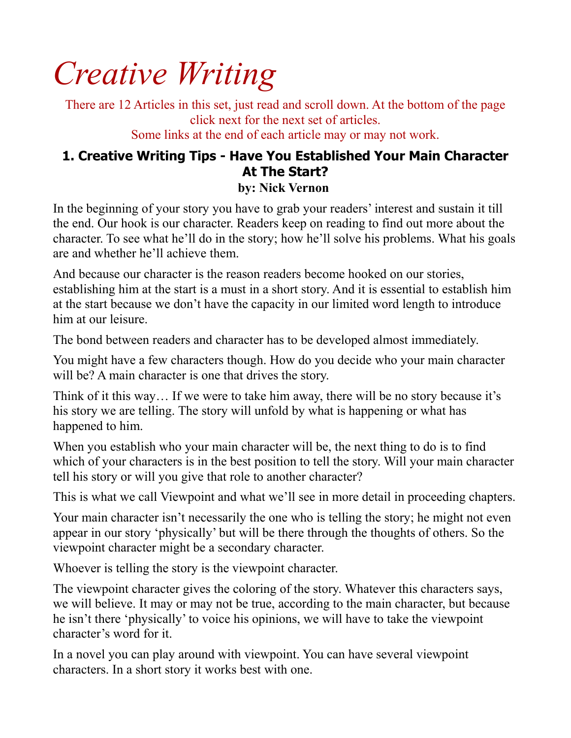# *Creative Writing*

There are 12 Articles in this set, just read and scroll down. At the bottom of the page click next for the next set of articles.

Some links at the end of each article may or may not work.

# **1. Creative Writing Tips - Have You Established Your Main Character At The Start?**

#### **by: Nick Vernon**

In the beginning of your story you have to grab your readers' interest and sustain it till the end. Our hook is our character. Readers keep on reading to find out more about the character. To see what he'll do in the story; how he'll solve his problems. What his goals are and whether he'll achieve them.

And because our character is the reason readers become hooked on our stories, establishing him at the start is a must in a short story. And it is essential to establish him at the start because we don't have the capacity in our limited word length to introduce him at our leisure.

The bond between readers and character has to be developed almost immediately.

You might have a few characters though. How do you decide who your main character will be? A main character is one that drives the story.

Think of it this way… If we were to take him away, there will be no story because it's his story we are telling. The story will unfold by what is happening or what has happened to him.

When you establish who your main character will be, the next thing to do is to find which of your characters is in the best position to tell the story. Will your main character tell his story or will you give that role to another character?

This is what we call Viewpoint and what we'll see in more detail in proceeding chapters.

Your main character isn't necessarily the one who is telling the story; he might not even appear in our story 'physically' but will be there through the thoughts of others. So the viewpoint character might be a secondary character.

Whoever is telling the story is the viewpoint character.

The viewpoint character gives the coloring of the story. Whatever this characters says, we will believe. It may or may not be true, according to the main character, but because he isn't there 'physically' to voice his opinions, we will have to take the viewpoint character's word for it.

In a novel you can play around with viewpoint. You can have several viewpoint characters. In a short story it works best with one.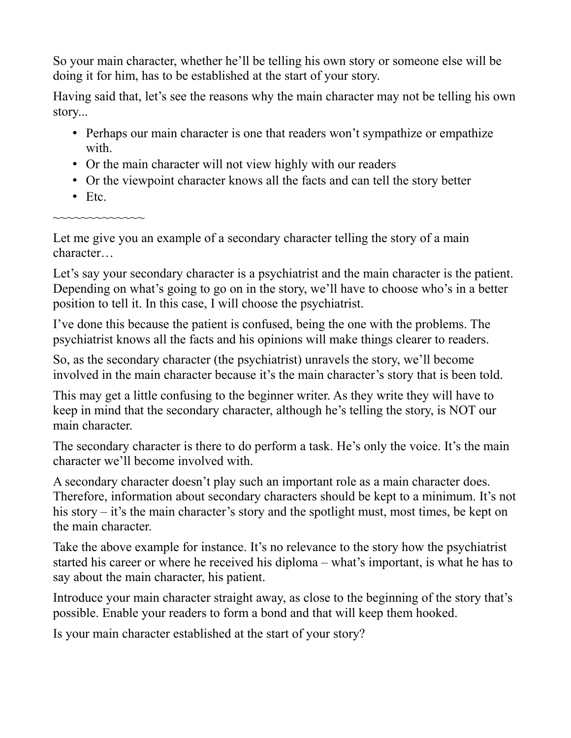So your main character, whether he'll be telling his own story or someone else will be doing it for him, has to be established at the start of your story.

Having said that, let's see the reasons why the main character may not be telling his own story...

- Perhaps our main character is one that readers won't sympathize or empathize with.
- Or the main character will not view highly with our readers
- Or the viewpoint character knows all the facts and can tell the story better
- Etc.

~~~~~~~~~~~

Let me give you an example of a secondary character telling the story of a main character…

Let's say your secondary character is a psychiatrist and the main character is the patient. Depending on what's going to go on in the story, we'll have to choose who's in a better position to tell it. In this case, I will choose the psychiatrist.

I've done this because the patient is confused, being the one with the problems. The psychiatrist knows all the facts and his opinions will make things clearer to readers.

So, as the secondary character (the psychiatrist) unravels the story, we'll become involved in the main character because it's the main character's story that is been told.

This may get a little confusing to the beginner writer. As they write they will have to keep in mind that the secondary character, although he's telling the story, is NOT our main character.

The secondary character is there to do perform a task. He's only the voice. It's the main character we'll become involved with.

A secondary character doesn't play such an important role as a main character does. Therefore, information about secondary characters should be kept to a minimum. It's not his story – it's the main character's story and the spotlight must, most times, be kept on the main character.

Take the above example for instance. It's no relevance to the story how the psychiatrist started his career or where he received his diploma – what's important, is what he has to say about the main character, his patient.

Introduce your main character straight away, as close to the beginning of the story that's possible. Enable your readers to form a bond and that will keep them hooked.

Is your main character established at the start of your story?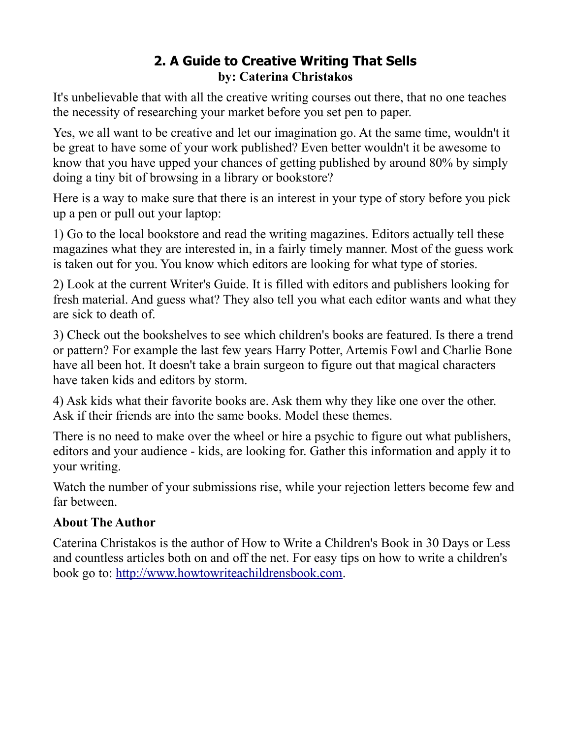## **2. A Guide to Creative Writing That Sells by: Caterina Christakos**

It's unbelievable that with all the creative writing courses out there, that no one teaches the necessity of researching your market before you set pen to paper.

Yes, we all want to be creative and let our imagination go. At the same time, wouldn't it be great to have some of your work published? Even better wouldn't it be awesome to know that you have upped your chances of getting published by around 80% by simply doing a tiny bit of browsing in a library or bookstore?

Here is a way to make sure that there is an interest in your type of story before you pick up a pen or pull out your laptop:

1) Go to the local bookstore and read the writing magazines. Editors actually tell these magazines what they are interested in, in a fairly timely manner. Most of the guess work is taken out for you. You know which editors are looking for what type of stories.

2) Look at the current Writer's Guide. It is filled with editors and publishers looking for fresh material. And guess what? They also tell you what each editor wants and what they are sick to death of.

3) Check out the bookshelves to see which children's books are featured. Is there a trend or pattern? For example the last few years Harry Potter, Artemis Fowl and Charlie Bone have all been hot. It doesn't take a brain surgeon to figure out that magical characters have taken kids and editors by storm.

4) Ask kids what their favorite books are. Ask them why they like one over the other. Ask if their friends are into the same books. Model these themes.

There is no need to make over the wheel or hire a psychic to figure out what publishers, editors and your audience - kids, are looking for. Gather this information and apply it to your writing.

Watch the number of your submissions rise, while your rejection letters become few and far between.

## **About The Author**

Caterina Christakos is the author of How to Write a Children's Book in 30 Days or Less and countless articles both on and off the net. For easy tips on how to write a children's book go to: [http://www.howtowriteachildrensbook.com.](http://www.howtowriteachildrensbook.com/)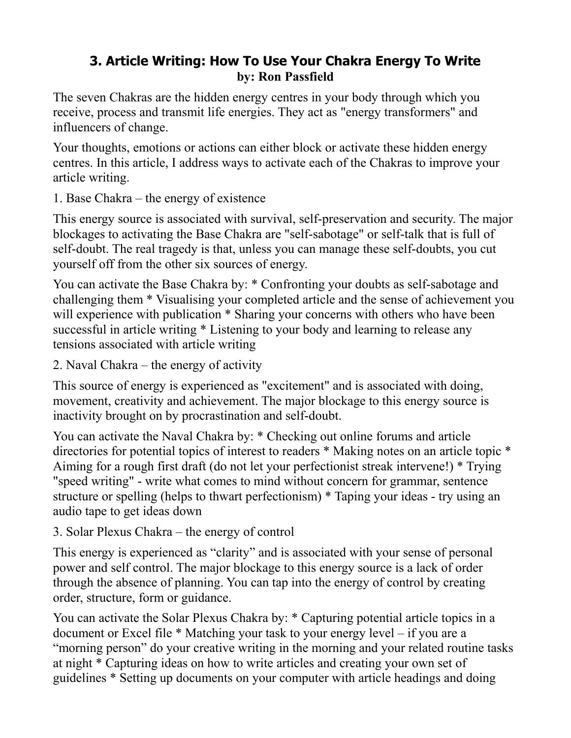## **3. Article Writing: How To Use Your Chakra Energy To Write by: Ron Passfield**

The seven Chakras are the hidden energy centres in your body through which you receive, process and transmit life energies. They act as "energy transformers" and influencers of change.

Your thoughts, emotions or actions can either block or activate these hidden energy centres. In this article, I address ways to activate each of the Chakras to improve your article writing.

1. Base Chakra – the energy of existence

This energy source is associated with survival, self-preservation and security. The major blockages to activating the Base Chakra are "self-sabotage" or self-talk that is full of self-doubt. The real tragedy is that, unless you can manage these self-doubts, you cut yourself off from the other six sources of energy.

You can activate the Base Chakra by: \* Confronting your doubts as self-sabotage and challenging them \* Visualising your completed article and the sense of achievement you will experience with publication \* Sharing your concerns with others who have been successful in article writing \* Listening to your body and learning to release any tensions associated with article writing

2. Naval Chakra – the energy of activity

This source of energy is experienced as "excitement" and is associated with doing, movement, creativity and achievement. The major blockage to this energy source is inactivity brought on by procrastination and self-doubt.

You can activate the Naval Chakra by: \* Checking out online forums and article directories for potential topics of interest to readers \* Making notes on an article topic \* Aiming for a rough first draft (do not let your perfectionist streak intervene!) \* Trying "speed writing" - write what comes to mind without concern for grammar, sentence structure or spelling (helps to thwart perfectionism) \* Taping your ideas - try using an audio tape to get ideas down

3. Solar Plexus Chakra – the energy of control

This energy is experienced as "clarity" and is associated with your sense of personal power and self control. The major blockage to this energy source is a lack of order through the absence of planning. You can tap into the energy of control by creating order, structure, form or guidance.

You can activate the Solar Plexus Chakra by: \* Capturing potential article topics in a document or Excel file \* Matching your task to your energy level – if you are a "morning person" do your creative writing in the morning and your related routine tasks at night \* Capturing ideas on how to write articles and creating your own set of guidelines \* Setting up documents on your computer with article headings and doing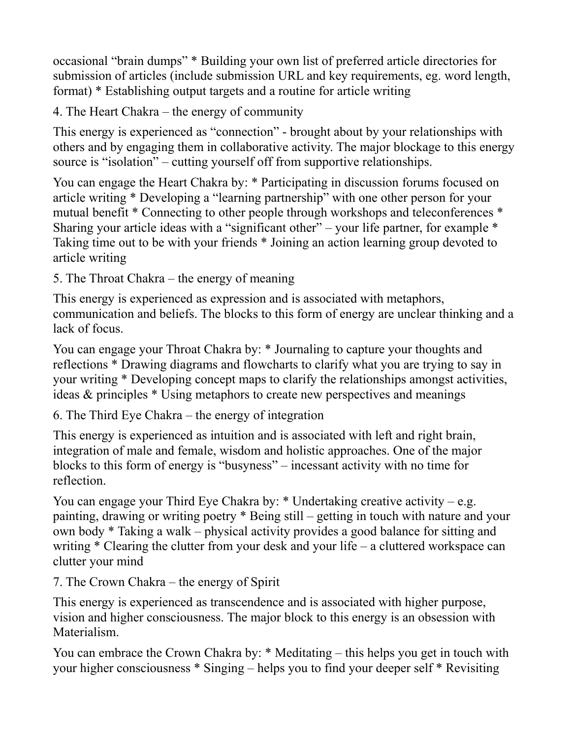occasional "brain dumps" \* Building your own list of preferred article directories for submission of articles (include submission URL and key requirements, eg. word length, format) \* Establishing output targets and a routine for article writing

4. The Heart Chakra – the energy of community

This energy is experienced as "connection" - brought about by your relationships with others and by engaging them in collaborative activity. The major blockage to this energy source is "isolation" – cutting yourself off from supportive relationships.

You can engage the Heart Chakra by: \* Participating in discussion forums focused on article writing \* Developing a "learning partnership" with one other person for your mutual benefit \* Connecting to other people through workshops and teleconferences \* Sharing your article ideas with a "significant other" – your life partner, for example  $*$ Taking time out to be with your friends \* Joining an action learning group devoted to article writing

5. The Throat Chakra – the energy of meaning

This energy is experienced as expression and is associated with metaphors, communication and beliefs. The blocks to this form of energy are unclear thinking and a lack of focus.

You can engage your Throat Chakra by: \* Journaling to capture your thoughts and reflections \* Drawing diagrams and flowcharts to clarify what you are trying to say in your writing \* Developing concept maps to clarify the relationships amongst activities, ideas & principles \* Using metaphors to create new perspectives and meanings

6. The Third Eye Chakra – the energy of integration

This energy is experienced as intuition and is associated with left and right brain, integration of male and female, wisdom and holistic approaches. One of the major blocks to this form of energy is "busyness" – incessant activity with no time for reflection.

You can engage your Third Eye Chakra by:  $*$  Undertaking creative activity – e.g. painting, drawing or writing poetry \* Being still – getting in touch with nature and your own body \* Taking a walk – physical activity provides a good balance for sitting and writing \* Clearing the clutter from your desk and your life – a cluttered workspace can clutter your mind

7. The Crown Chakra – the energy of Spirit

This energy is experienced as transcendence and is associated with higher purpose, vision and higher consciousness. The major block to this energy is an obsession with Materialism.

You can embrace the Crown Chakra by: \* Meditating – this helps you get in touch with your higher consciousness \* Singing – helps you to find your deeper self \* Revisiting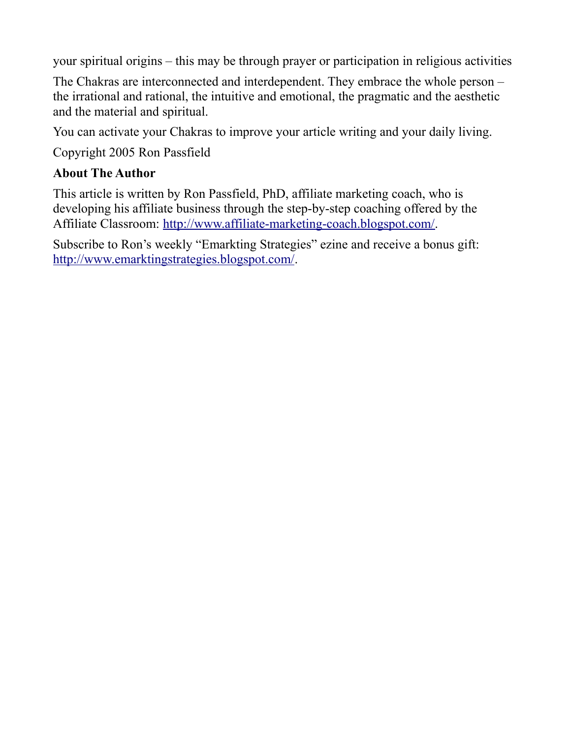your spiritual origins – this may be through prayer or participation in religious activities

The Chakras are interconnected and interdependent. They embrace the whole person – the irrational and rational, the intuitive and emotional, the pragmatic and the aesthetic and the material and spiritual.

You can activate your Chakras to improve your article writing and your daily living.

Copyright 2005 Ron Passfield

#### **About The Author**

This article is written by Ron Passfield, PhD, affiliate marketing coach, who is developing his affiliate business through the step-by-step coaching offered by the Affiliate Classroom: [http://www.affiliate-marketing-coach.blogspot.com/.](http://www.affiliate-marketing-coach.blogspot.com/)

Subscribe to Ron's weekly "Emarkting Strategies" ezine and receive a bonus gift: [http://www.emarktingstrategies.blogspot.com/.](http://www.emarktingstrategies.blogspot.com/)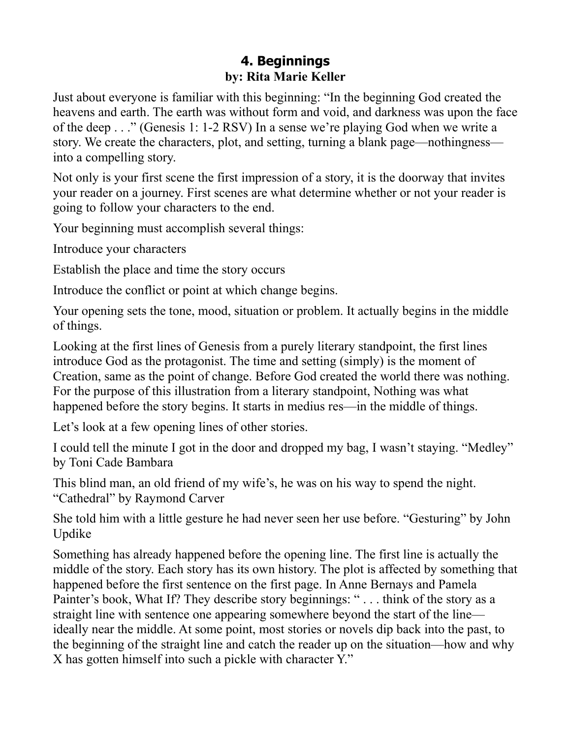## **4. Beginnings by: Rita Marie Keller**

Just about everyone is familiar with this beginning: "In the beginning God created the heavens and earth. The earth was without form and void, and darkness was upon the face of the deep . . ." (Genesis 1: 1-2 RSV) In a sense we're playing God when we write a story. We create the characters, plot, and setting, turning a blank page—nothingness into a compelling story.

Not only is your first scene the first impression of a story, it is the doorway that invites your reader on a journey. First scenes are what determine whether or not your reader is going to follow your characters to the end.

Your beginning must accomplish several things:

Introduce your characters

Establish the place and time the story occurs

Introduce the conflict or point at which change begins.

Your opening sets the tone, mood, situation or problem. It actually begins in the middle of things.

Looking at the first lines of Genesis from a purely literary standpoint, the first lines introduce God as the protagonist. The time and setting (simply) is the moment of Creation, same as the point of change. Before God created the world there was nothing. For the purpose of this illustration from a literary standpoint, Nothing was what happened before the story begins. It starts in medius res—in the middle of things.

Let's look at a few opening lines of other stories.

I could tell the minute I got in the door and dropped my bag, I wasn't staying. "Medley" by Toni Cade Bambara

This blind man, an old friend of my wife's, he was on his way to spend the night. "Cathedral" by Raymond Carver

She told him with a little gesture he had never seen her use before. "Gesturing" by John Updike

Something has already happened before the opening line. The first line is actually the middle of the story. Each story has its own history. The plot is affected by something that happened before the first sentence on the first page. In Anne Bernays and Pamela Painter's book, What If? They describe story beginnings: "... think of the story as a straight line with sentence one appearing somewhere beyond the start of the line ideally near the middle. At some point, most stories or novels dip back into the past, to the beginning of the straight line and catch the reader up on the situation—how and why X has gotten himself into such a pickle with character Y."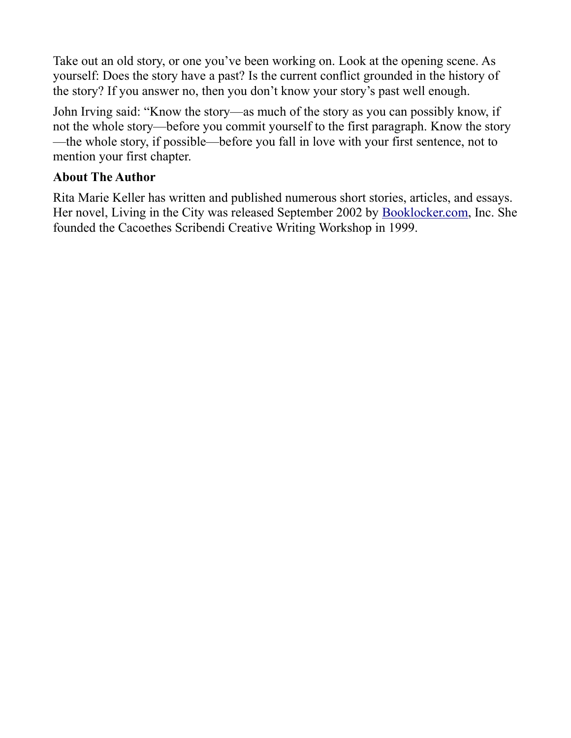Take out an old story, or one you've been working on. Look at the opening scene. As yourself: Does the story have a past? Is the current conflict grounded in the history of the story? If you answer no, then you don't know your story's past well enough.

John Irving said: "Know the story—as much of the story as you can possibly know, if not the whole story—before you commit yourself to the first paragraph. Know the story —the whole story, if possible—before you fall in love with your first sentence, not to mention your first chapter.

#### **About The Author**

Rita Marie Keller has written and published numerous short stories, articles, and essays. Her novel, Living in the City was released September 2002 by [Booklocker.com,](http://Booklocker.com/) Inc. She founded the Cacoethes Scribendi Creative Writing Workshop in 1999.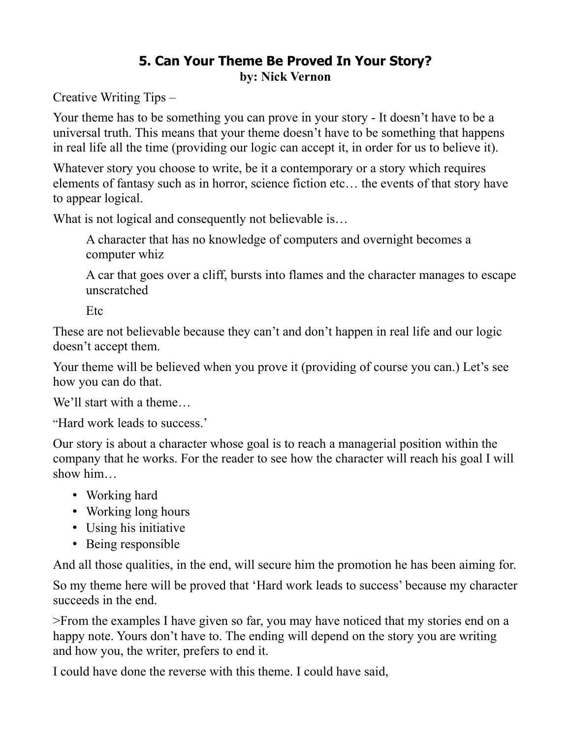## **5. Can Your Theme Be Proved In Your Story? by: Nick Vernon**

Creative Writing Tips –

Your theme has to be something you can prove in your story - It doesn't have to be a universal truth. This means that your theme doesn't have to be something that happens in real life all the time (providing our logic can accept it, in order for us to believe it).

Whatever story you choose to write, be it a contemporary or a story which requires elements of fantasy such as in horror, science fiction etc… the events of that story have to appear logical.

What is not logical and consequently not believable is...

A character that has no knowledge of computers and overnight becomes a computer whiz

A car that goes over a cliff, bursts into flames and the character manages to escape unscratched

Etc

These are not believable because they can't and don't happen in real life and our logic doesn't accept them.

Your theme will be believed when you prove it (providing of course you can.) Let's see how you can do that.

We'll start with a theme…

"Hard work leads to success.'

Our story is about a character whose goal is to reach a managerial position within the company that he works. For the reader to see how the character will reach his goal I will show him…

- Working hard
- Working long hours
- Using his initiative
- Being responsible

And all those qualities, in the end, will secure him the promotion he has been aiming for.

So my theme here will be proved that 'Hard work leads to success' because my character succeeds in the end.

>From the examples I have given so far, you may have noticed that my stories end on a happy note. Yours don't have to. The ending will depend on the story you are writing and how you, the writer, prefers to end it.

I could have done the reverse with this theme. I could have said,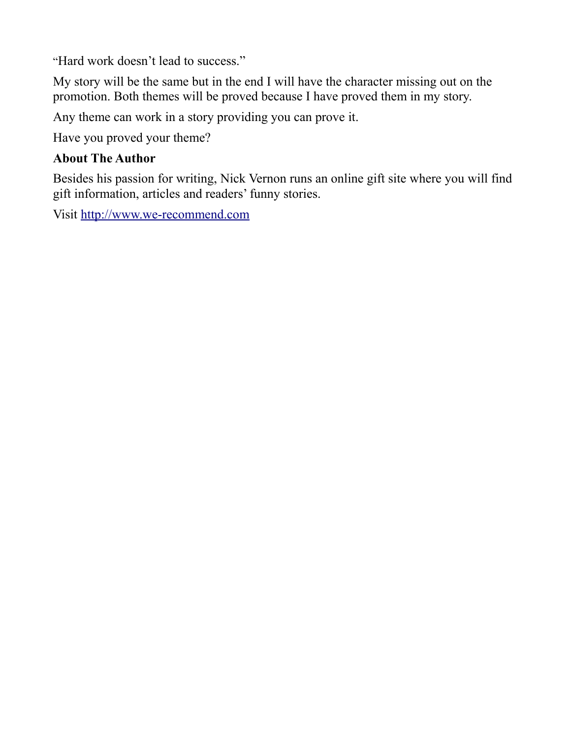"Hard work doesn't lead to success."

My story will be the same but in the end I will have the character missing out on the promotion. Both themes will be proved because I have proved them in my story.

Any theme can work in a story providing you can prove it.

Have you proved your theme?

#### **About The Author**

Besides his passion for writing, Nick Vernon runs an online gift site where you will find gift information, articles and readers' funny stories.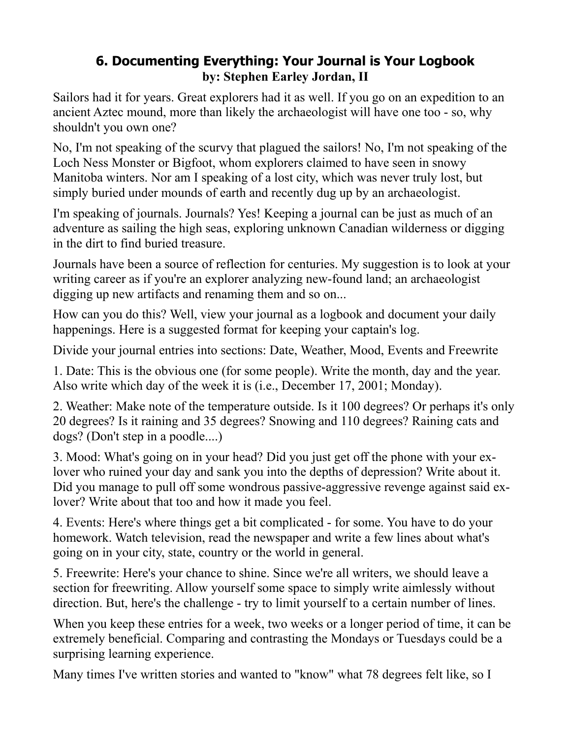## **6. Documenting Everything: Your Journal is Your Logbook by: Stephen Earley Jordan, II**

Sailors had it for years. Great explorers had it as well. If you go on an expedition to an ancient Aztec mound, more than likely the archaeologist will have one too - so, why shouldn't you own one?

No, I'm not speaking of the scurvy that plagued the sailors! No, I'm not speaking of the Loch Ness Monster or Bigfoot, whom explorers claimed to have seen in snowy Manitoba winters. Nor am I speaking of a lost city, which was never truly lost, but simply buried under mounds of earth and recently dug up by an archaeologist.

I'm speaking of journals. Journals? Yes! Keeping a journal can be just as much of an adventure as sailing the high seas, exploring unknown Canadian wilderness or digging in the dirt to find buried treasure.

Journals have been a source of reflection for centuries. My suggestion is to look at your writing career as if you're an explorer analyzing new-found land; an archaeologist digging up new artifacts and renaming them and so on...

How can you do this? Well, view your journal as a logbook and document your daily happenings. Here is a suggested format for keeping your captain's log.

Divide your journal entries into sections: Date, Weather, Mood, Events and Freewrite

1. Date: This is the obvious one (for some people). Write the month, day and the year. Also write which day of the week it is (i.e., December 17, 2001; Monday).

2. Weather: Make note of the temperature outside. Is it 100 degrees? Or perhaps it's only 20 degrees? Is it raining and 35 degrees? Snowing and 110 degrees? Raining cats and dogs? (Don't step in a poodle....)

3. Mood: What's going on in your head? Did you just get off the phone with your exlover who ruined your day and sank you into the depths of depression? Write about it. Did you manage to pull off some wondrous passive-aggressive revenge against said exlover? Write about that too and how it made you feel.

4. Events: Here's where things get a bit complicated - for some. You have to do your homework. Watch television, read the newspaper and write a few lines about what's going on in your city, state, country or the world in general.

5. Freewrite: Here's your chance to shine. Since we're all writers, we should leave a section for freewriting. Allow yourself some space to simply write aimlessly without direction. But, here's the challenge - try to limit yourself to a certain number of lines.

When you keep these entries for a week, two weeks or a longer period of time, it can be extremely beneficial. Comparing and contrasting the Mondays or Tuesdays could be a surprising learning experience.

Many times I've written stories and wanted to "know" what 78 degrees felt like, so I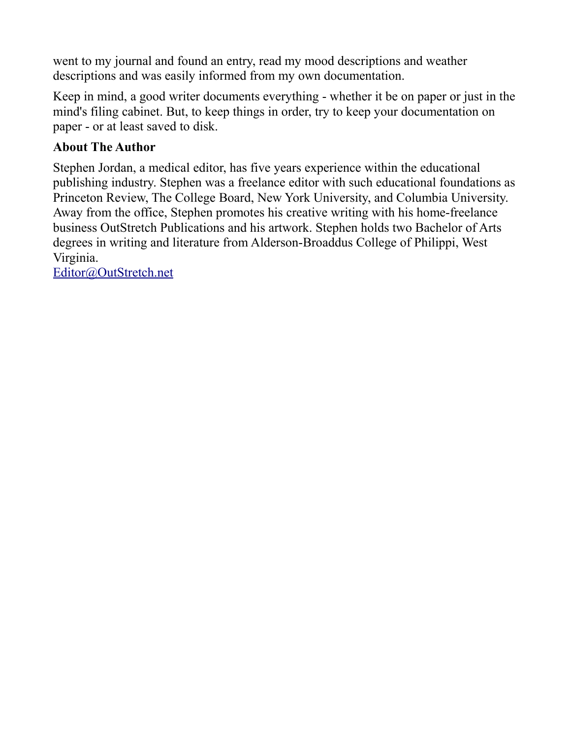went to my journal and found an entry, read my mood descriptions and weather descriptions and was easily informed from my own documentation.

Keep in mind, a good writer documents everything - whether it be on paper or just in the mind's filing cabinet. But, to keep things in order, try to keep your documentation on paper - or at least saved to disk.

#### **About The Author**

Stephen Jordan, a medical editor, has five years experience within the educational publishing industry. Stephen was a freelance editor with such educational foundations as Princeton Review, The College Board, New York University, and Columbia University. Away from the office, Stephen promotes his creative writing with his home-freelance business OutStretch Publications and his artwork. Stephen holds two Bachelor of Arts degrees in writing and literature from Alderson-Broaddus College of Philippi, West Virginia.

[Editor@OutStretch.net](mailto:Editor@OutStretch.net)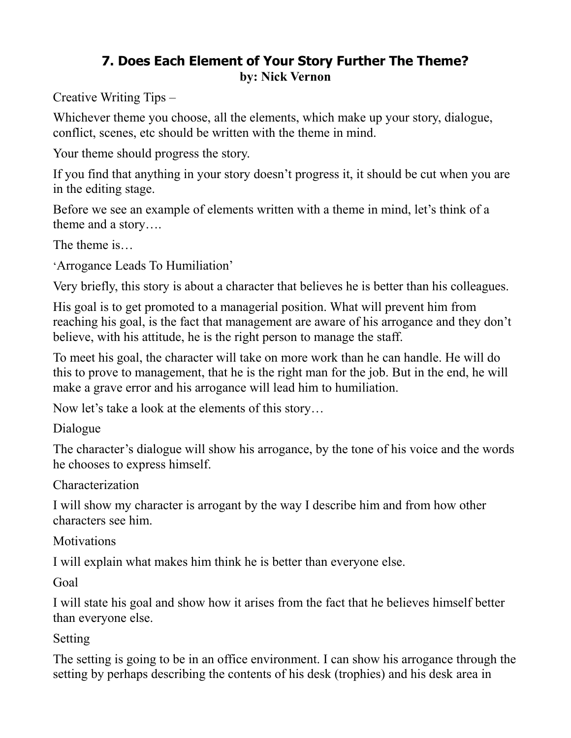## **7. Does Each Element of Your Story Further The Theme? by: Nick Vernon**

Creative Writing Tips –

Whichever theme you choose, all the elements, which make up your story, dialogue, conflict, scenes, etc should be written with the theme in mind.

Your theme should progress the story.

If you find that anything in your story doesn't progress it, it should be cut when you are in the editing stage.

Before we see an example of elements written with a theme in mind, let's think of a theme and a story….

The theme is…

'Arrogance Leads To Humiliation'

Very briefly, this story is about a character that believes he is better than his colleagues.

His goal is to get promoted to a managerial position. What will prevent him from reaching his goal, is the fact that management are aware of his arrogance and they don't believe, with his attitude, he is the right person to manage the staff.

To meet his goal, the character will take on more work than he can handle. He will do this to prove to management, that he is the right man for the job. But in the end, he will make a grave error and his arrogance will lead him to humiliation.

Now let's take a look at the elements of this story…

Dialogue

The character's dialogue will show his arrogance, by the tone of his voice and the words he chooses to express himself.

Characterization

I will show my character is arrogant by the way I describe him and from how other characters see him.

**Motivations** 

I will explain what makes him think he is better than everyone else.

Goal

I will state his goal and show how it arises from the fact that he believes himself better than everyone else.

Setting

The setting is going to be in an office environment. I can show his arrogance through the setting by perhaps describing the contents of his desk (trophies) and his desk area in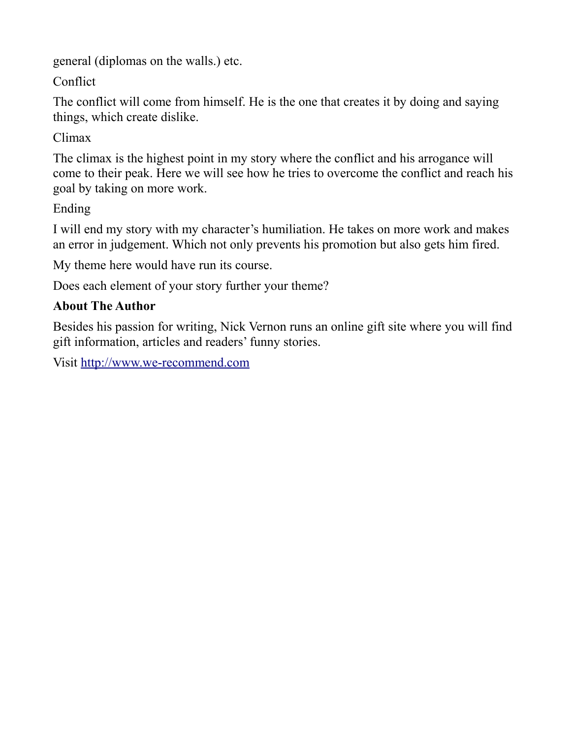general (diplomas on the walls.) etc.

Conflict

The conflict will come from himself. He is the one that creates it by doing and saying things, which create dislike.

Climax

The climax is the highest point in my story where the conflict and his arrogance will come to their peak. Here we will see how he tries to overcome the conflict and reach his goal by taking on more work.

Ending

I will end my story with my character's humiliation. He takes on more work and makes an error in judgement. Which not only prevents his promotion but also gets him fired.

My theme here would have run its course.

Does each element of your story further your theme?

## **About The Author**

Besides his passion for writing, Nick Vernon runs an online gift site where you will find gift information, articles and readers' funny stories.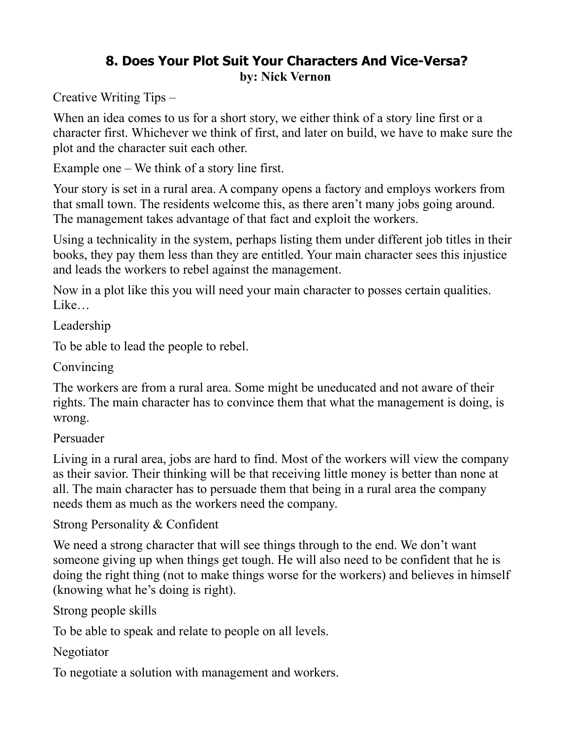## **8. Does Your Plot Suit Your Characters And Vice-Versa? by: Nick Vernon**

Creative Writing Tips –

When an idea comes to us for a short story, we either think of a story line first or a character first. Whichever we think of first, and later on build, we have to make sure the plot and the character suit each other.

Example one – We think of a story line first.

Your story is set in a rural area. A company opens a factory and employs workers from that small town. The residents welcome this, as there aren't many jobs going around. The management takes advantage of that fact and exploit the workers.

Using a technicality in the system, perhaps listing them under different job titles in their books, they pay them less than they are entitled. Your main character sees this injustice and leads the workers to rebel against the management.

Now in a plot like this you will need your main character to posses certain qualities. Like…

Leadership

To be able to lead the people to rebel.

Convincing

The workers are from a rural area. Some might be uneducated and not aware of their rights. The main character has to convince them that what the management is doing, is wrong.

Persuader

Living in a rural area, jobs are hard to find. Most of the workers will view the company as their savior. Their thinking will be that receiving little money is better than none at all. The main character has to persuade them that being in a rural area the company needs them as much as the workers need the company.

Strong Personality & Confident

We need a strong character that will see things through to the end. We don't want someone giving up when things get tough. He will also need to be confident that he is doing the right thing (not to make things worse for the workers) and believes in himself (knowing what he's doing is right).

Strong people skills

To be able to speak and relate to people on all levels.

Negotiator

To negotiate a solution with management and workers.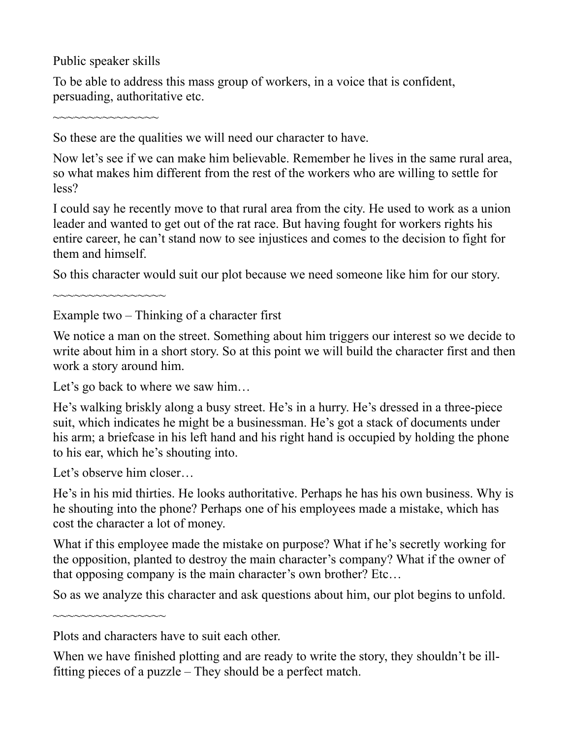Public speaker skills

~~~~~~~~~~~~~~~

To be able to address this mass group of workers, in a voice that is confident, persuading, authoritative etc.

So these are the qualities we will need our character to have.

Now let's see if we can make him believable. Remember he lives in the same rural area, so what makes him different from the rest of the workers who are willing to settle for less?

I could say he recently move to that rural area from the city. He used to work as a union leader and wanted to get out of the rat race. But having fought for workers rights his entire career, he can't stand now to see injustices and comes to the decision to fight for them and himself.

So this character would suit our plot because we need someone like him for our story.

 $\sim$ ~~~~~~~~~~~~~~

Example two – Thinking of a character first

We notice a man on the street. Something about him triggers our interest so we decide to write about him in a short story. So at this point we will build the character first and then work a story around him.

Let's go back to where we saw him...

He's walking briskly along a busy street. He's in a hurry. He's dressed in a three-piece suit, which indicates he might be a businessman. He's got a stack of documents under his arm; a briefcase in his left hand and his right hand is occupied by holding the phone to his ear, which he's shouting into.

Let's observe him closer…

~~~~~~~~~~~~~~

He's in his mid thirties. He looks authoritative. Perhaps he has his own business. Why is he shouting into the phone? Perhaps one of his employees made a mistake, which has cost the character a lot of money.

What if this employee made the mistake on purpose? What if he's secretly working for the opposition, planted to destroy the main character's company? What if the owner of that opposing company is the main character's own brother? Etc…

So as we analyze this character and ask questions about him, our plot begins to unfold.

Plots and characters have to suit each other.

When we have finished plotting and are ready to write the story, they shouldn't be illfitting pieces of a puzzle – They should be a perfect match.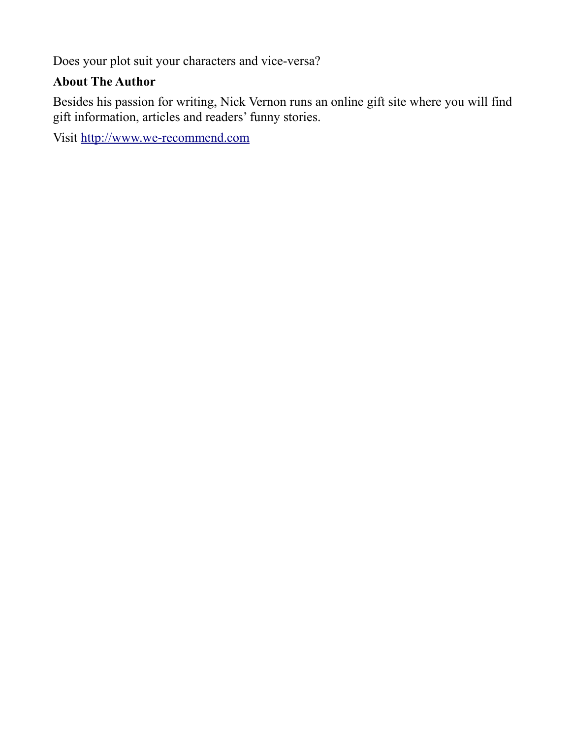Does your plot suit your characters and vice-versa?

## **About The Author**

Besides his passion for writing, Nick Vernon runs an online gift site where you will find gift information, articles and readers' funny stories.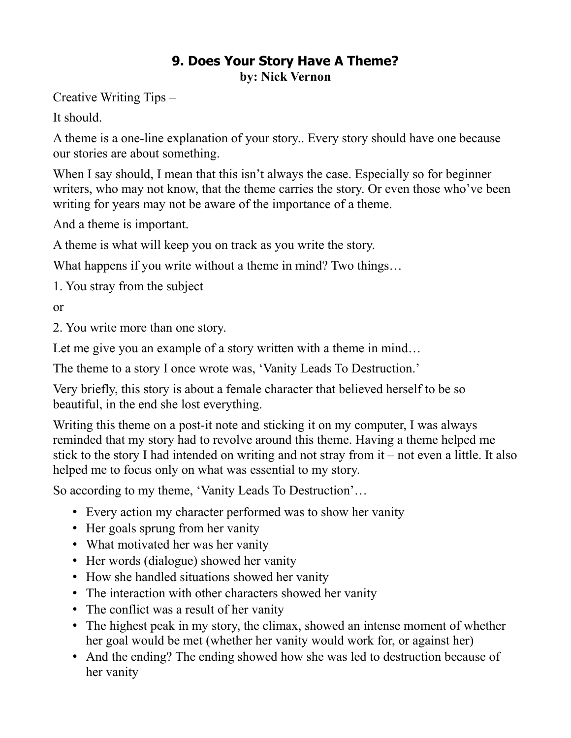## **9. Does Your Story Have A Theme? by: Nick Vernon**

Creative Writing Tips –

It should.

A theme is a one-line explanation of your story.. Every story should have one because our stories are about something.

When I say should, I mean that this isn't always the case. Especially so for beginner writers, who may not know, that the theme carries the story. Or even those who've been writing for years may not be aware of the importance of a theme.

And a theme is important.

A theme is what will keep you on track as you write the story.

What happens if you write without a theme in mind? Two things...

1. You stray from the subject

or

2. You write more than one story.

Let me give you an example of a story written with a theme in mind...

The theme to a story I once wrote was, 'Vanity Leads To Destruction.'

Very briefly, this story is about a female character that believed herself to be so beautiful, in the end she lost everything.

Writing this theme on a post-it note and sticking it on my computer, I was always reminded that my story had to revolve around this theme. Having a theme helped me stick to the story I had intended on writing and not stray from it – not even a little. It also helped me to focus only on what was essential to my story.

So according to my theme, 'Vanity Leads To Destruction'…

- Every action my character performed was to show her vanity
- Her goals sprung from her vanity
- What motivated her was her vanity
- Her words (dialogue) showed her vanity
- How she handled situations showed her vanity
- The interaction with other characters showed her vanity
- The conflict was a result of her vanity
- The highest peak in my story, the climax, showed an intense moment of whether her goal would be met (whether her vanity would work for, or against her)
- And the ending? The ending showed how she was led to destruction because of her vanity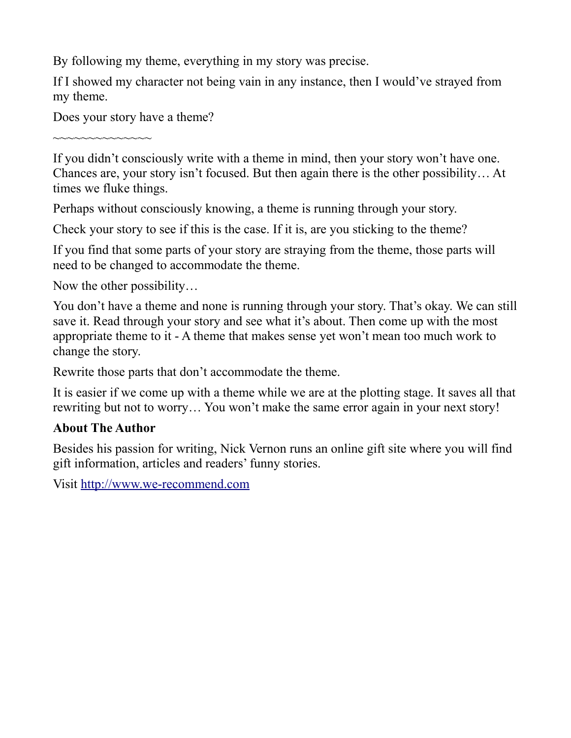By following my theme, everything in my story was precise.

If I showed my character not being vain in any instance, then I would've strayed from my theme.

Does your story have a theme?

~~~~~~~~~~~~~~

If you didn't consciously write with a theme in mind, then your story won't have one. Chances are, your story isn't focused. But then again there is the other possibility… At times we fluke things.

Perhaps without consciously knowing, a theme is running through your story.

Check your story to see if this is the case. If it is, are you sticking to the theme?

If you find that some parts of your story are straying from the theme, those parts will need to be changed to accommodate the theme.

Now the other possibility…

You don't have a theme and none is running through your story. That's okay. We can still save it. Read through your story and see what it's about. Then come up with the most appropriate theme to it - A theme that makes sense yet won't mean too much work to change the story.

Rewrite those parts that don't accommodate the theme.

It is easier if we come up with a theme while we are at the plotting stage. It saves all that rewriting but not to worry… You won't make the same error again in your next story!

## **About The Author**

Besides his passion for writing, Nick Vernon runs an online gift site where you will find gift information, articles and readers' funny stories.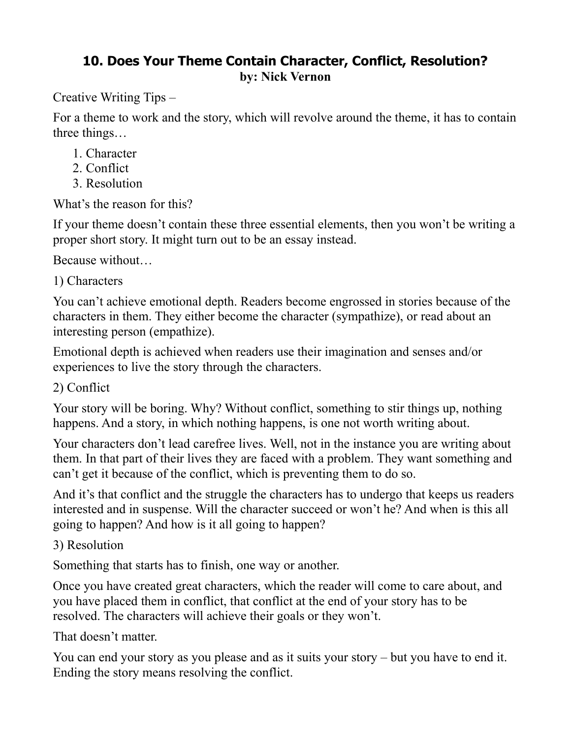## **10. Does Your Theme Contain Character, Conflict, Resolution? by: Nick Vernon**

Creative Writing Tips –

For a theme to work and the story, which will revolve around the theme, it has to contain three things…

- 1. Character
- 2. Conflict
- 3. Resolution

What's the reason for this?

If your theme doesn't contain these three essential elements, then you won't be writing a proper short story. It might turn out to be an essay instead.

Because without…

1) Characters

You can't achieve emotional depth. Readers become engrossed in stories because of the characters in them. They either become the character (sympathize), or read about an interesting person (empathize).

Emotional depth is achieved when readers use their imagination and senses and/or experiences to live the story through the characters.

2) Conflict

Your story will be boring. Why? Without conflict, something to stir things up, nothing happens. And a story, in which nothing happens, is one not worth writing about.

Your characters don't lead carefree lives. Well, not in the instance you are writing about them. In that part of their lives they are faced with a problem. They want something and can't get it because of the conflict, which is preventing them to do so.

And it's that conflict and the struggle the characters has to undergo that keeps us readers interested and in suspense. Will the character succeed or won't he? And when is this all going to happen? And how is it all going to happen?

## 3) Resolution

Something that starts has to finish, one way or another.

Once you have created great characters, which the reader will come to care about, and you have placed them in conflict, that conflict at the end of your story has to be resolved. The characters will achieve their goals or they won't.

That doesn't matter.

You can end your story as you please and as it suits your story – but you have to end it. Ending the story means resolving the conflict.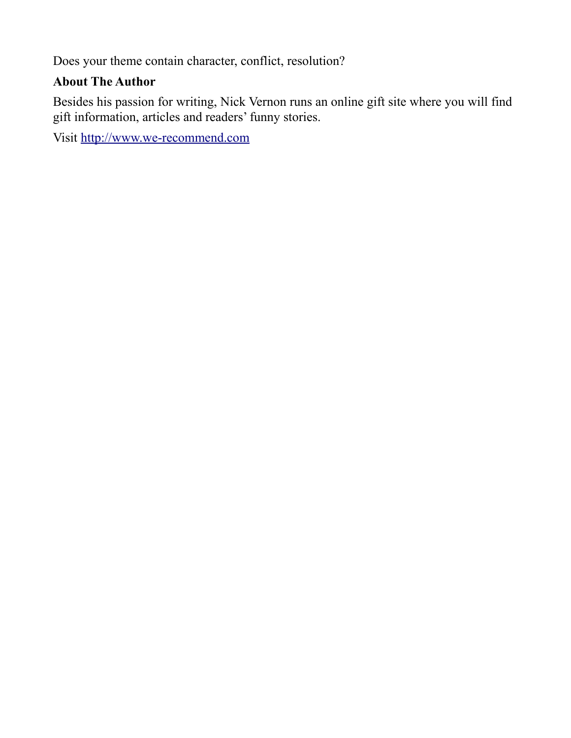Does your theme contain character, conflict, resolution?

### **About The Author**

Besides his passion for writing, Nick Vernon runs an online gift site where you will find gift information, articles and readers' funny stories.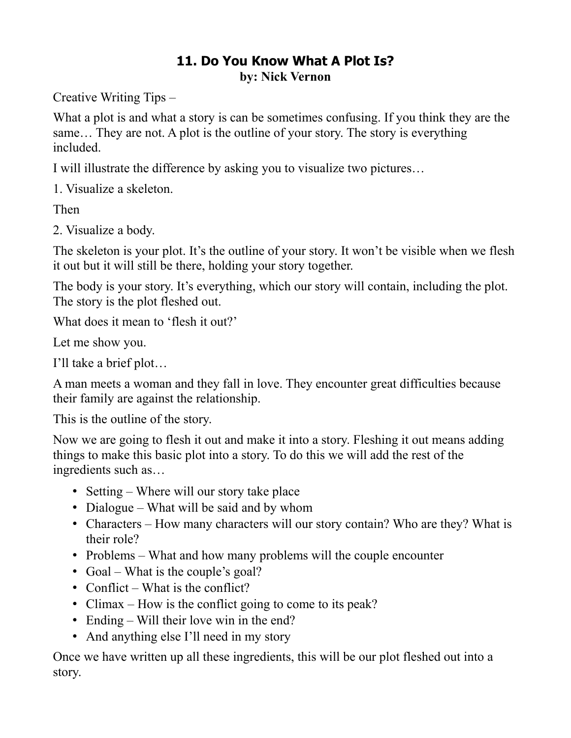## **11. Do You Know What A Plot Is? by: Nick Vernon**

Creative Writing Tips –

What a plot is and what a story is can be sometimes confusing. If you think they are the same… They are not. A plot is the outline of your story. The story is everything included.

I will illustrate the difference by asking you to visualize two pictures…

1. Visualize a skeleton.

Then

2. Visualize a body.

The skeleton is your plot. It's the outline of your story. It won't be visible when we flesh it out but it will still be there, holding your story together.

The body is your story. It's everything, which our story will contain, including the plot. The story is the plot fleshed out.

What does it mean to 'flesh it out?'

Let me show you.

I'll take a brief plot…

A man meets a woman and they fall in love. They encounter great difficulties because their family are against the relationship.

This is the outline of the story.

Now we are going to flesh it out and make it into a story. Fleshing it out means adding things to make this basic plot into a story. To do this we will add the rest of the ingredients such as…

- Setting Where will our story take place
- Dialogue What will be said and by whom
- Characters How many characters will our story contain? Who are they? What is their role?
- Problems What and how many problems will the couple encounter
- Goal What is the couple's goal?
- Conflict What is the conflict?
- Climax How is the conflict going to come to its peak?
- Ending Will their love win in the end?
- And anything else I'll need in my story

Once we have written up all these ingredients, this will be our plot fleshed out into a story.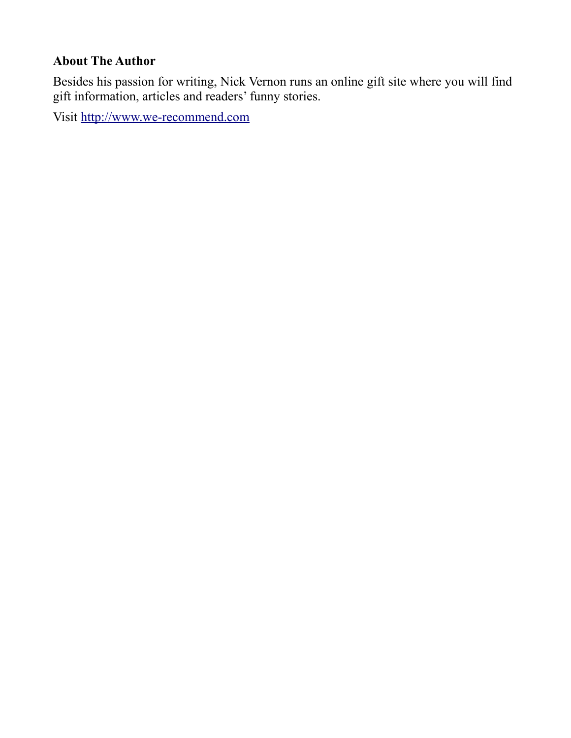#### **About The Author**

Besides his passion for writing, Nick Vernon runs an online gift site where you will find gift information, articles and readers' funny stories.